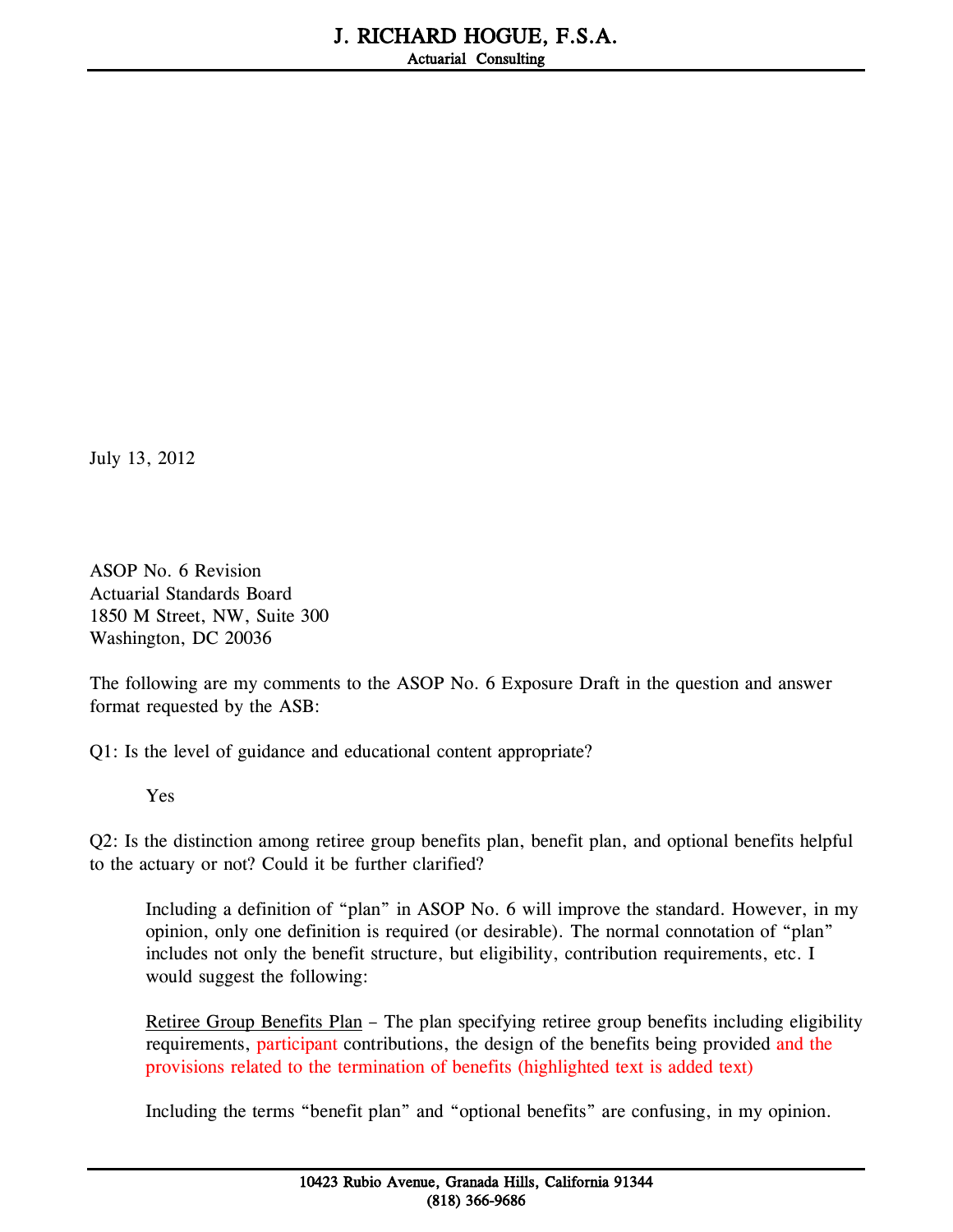July 13, 2012

ASOP No. 6 Revision Actuarial Standards Board 1850 M Street, NW, Suite 300 Washington, DC 20036

The following are my comments to the ASOP No. 6 Exposure Draft in the question and answer format requested by the ASB:

Q1: Is the level of guidance and educational content appropriate?

Yes

Q2: Is the distinction among retiree group benefits plan, benefit plan, and optional benefits helpful to the actuary or not? Could it be further clarified?

Including a definition of "plan" in ASOP No. 6 will improve the standard. However, in my opinion, only one definition is required (or desirable). The normal connotation of "plan" includes not only the benefit structure, but eligibility, contribution requirements, etc. I would suggest the following:

Retiree Group Benefits Plan - The plan specifying retiree group benefits including eligibility requirements, participant contributions, the design of the benefits being provided and the provisions related to the termination of benefits (highlighted text is added text)

Including the terms "benefit plan" and "optional benefits" are confusing, in my opinion.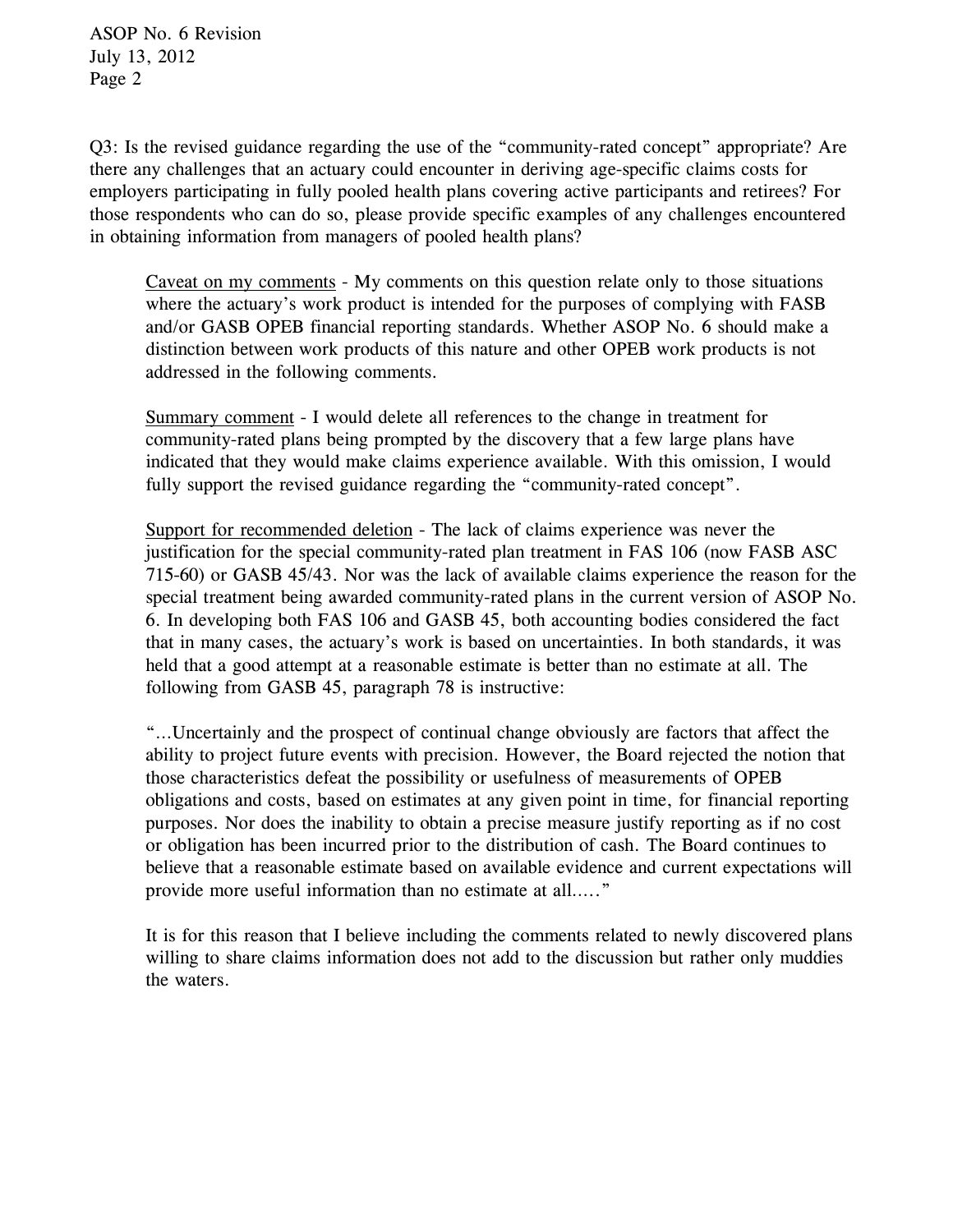ASOP No. 6 Revision July 13, 2012 Page 2

Q3: Is the revised guidance regarding the use of the "community-rated concept" appropriate? Are there any challenges that an actuary could encounter in deriving age-specific claims costs for employers participating in fully pooled health plans covering active participants and retirees? For those respondents who can do so, please provide specific examples of any challenges encountered in obtaining information from managers of pooled health plans?

Caveat on my comments - My comments on this question relate only to those situations where the actuary's work product is intended for the purposes of complying with FASB and/or GASB OPEB financial reporting standards. Whether ASOP No. 6 should make a distinction between work products of this nature and other OPEB work products is not addressed in the following comments.

Summary comment - I would delete all references to the change in treatment for community-rated plans being prompted by the discovery that a few large plans have indicated that they would make claims experience available. With this omission, I would fully support the revised guidance regarding the "community-rated concept".

Support for recommended deletion - The lack of claims experience was never the justification for the special community-rated plan treatment in FAS 106 (now FASB ASC 715-60) or GASB 45/43. Nor was the lack of available claims experience the reason for the special treatment being awarded community-rated plans in the current version of ASOP No. 6. In developing both FAS 106 and GASB 45, both accounting bodies considered the fact that in many cases, the actuary's work is based on uncertainties. In both standards, it was held that a good attempt at a reasonable estimate is better than no estimate at all. The following from GASB 45, paragraph 78 is instructive:

"…Uncertainly and the prospect of continual change obviously are factors that affect the ability to project future events with precision. However, the Board rejected the notion that those characteristics defeat the possibility or usefulness of measurements of OPEB obligations and costs, based on estimates at any given point in time, for financial reporting purposes. Nor does the inability to obtain a precise measure justify reporting as if no cost or obligation has been incurred prior to the distribution of cash. The Board continues to believe that a reasonable estimate based on available evidence and current expectations will provide more useful information than no estimate at all….."

It is for this reason that I believe including the comments related to newly discovered plans willing to share claims information does not add to the discussion but rather only muddies the waters.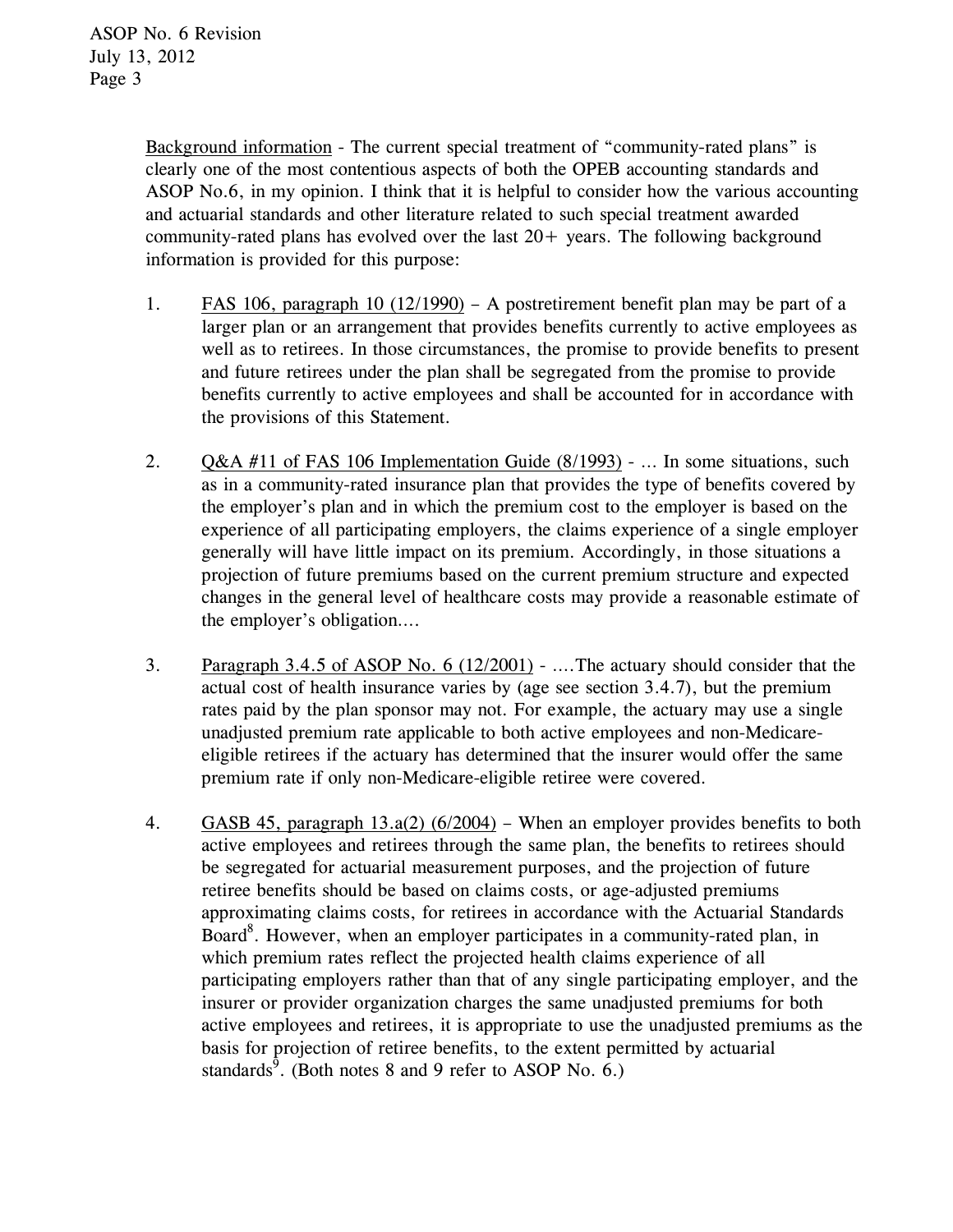Background information - The current special treatment of "community-rated plans" is clearly one of the most contentious aspects of both the OPEB accounting standards and ASOP No.6, in my opinion. I think that it is helpful to consider how the various accounting and actuarial standards and other literature related to such special treatment awarded community-rated plans has evolved over the last  $20+$  years. The following background information is provided for this purpose:

- 1. FAS 106, paragraph 10 (12/1990) A postretirement benefit plan may be part of a larger plan or an arrangement that provides benefits currently to active employees as well as to retirees. In those circumstances, the promise to provide benefits to present and future retirees under the plan shall be segregated from the promise to provide benefits currently to active employees and shall be accounted for in accordance with the provisions of this Statement.
- 2. Q&A #11 of FAS 106 Implementation Guide (8/1993) … In some situations, such as in a community-rated insurance plan that provides the type of benefits covered by the employer's plan and in which the premium cost to the employer is based on the experience of all participating employers, the claims experience of a single employer generally will have little impact on its premium. Accordingly, in those situations a projection of future premiums based on the current premium structure and expected changes in the general level of healthcare costs may provide a reasonable estimate of the employer's obligation….
- 3. Paragraph 3.4.5 of ASOP No. 6 (12/2001) ….The actuary should consider that the actual cost of health insurance varies by (age see section 3.4.7), but the premium rates paid by the plan sponsor may not. For example, the actuary may use a single unadjusted premium rate applicable to both active employees and non-Medicareeligible retirees if the actuary has determined that the insurer would offer the same premium rate if only non-Medicare-eligible retiree were covered.
- 4. GASB 45, paragraph 13.a(2) (6/2004) When an employer provides benefits to both active employees and retirees through the same plan, the benefits to retirees should be segregated for actuarial measurement purposes, and the projection of future retiree benefits should be based on claims costs, or age-adjusted premiums approximating claims costs, for retirees in accordance with the Actuarial Standards Board<sup>8</sup>. However, when an employer participates in a community-rated plan, in which premium rates reflect the projected health claims experience of all participating employers rather than that of any single participating employer, and the insurer or provider organization charges the same unadjusted premiums for both active employees and retirees, it is appropriate to use the unadjusted premiums as the basis for projection of retiree benefits, to the extent permitted by actuarial standards<sup>9</sup>. (Both notes 8 and 9 refer to ASOP No. 6.)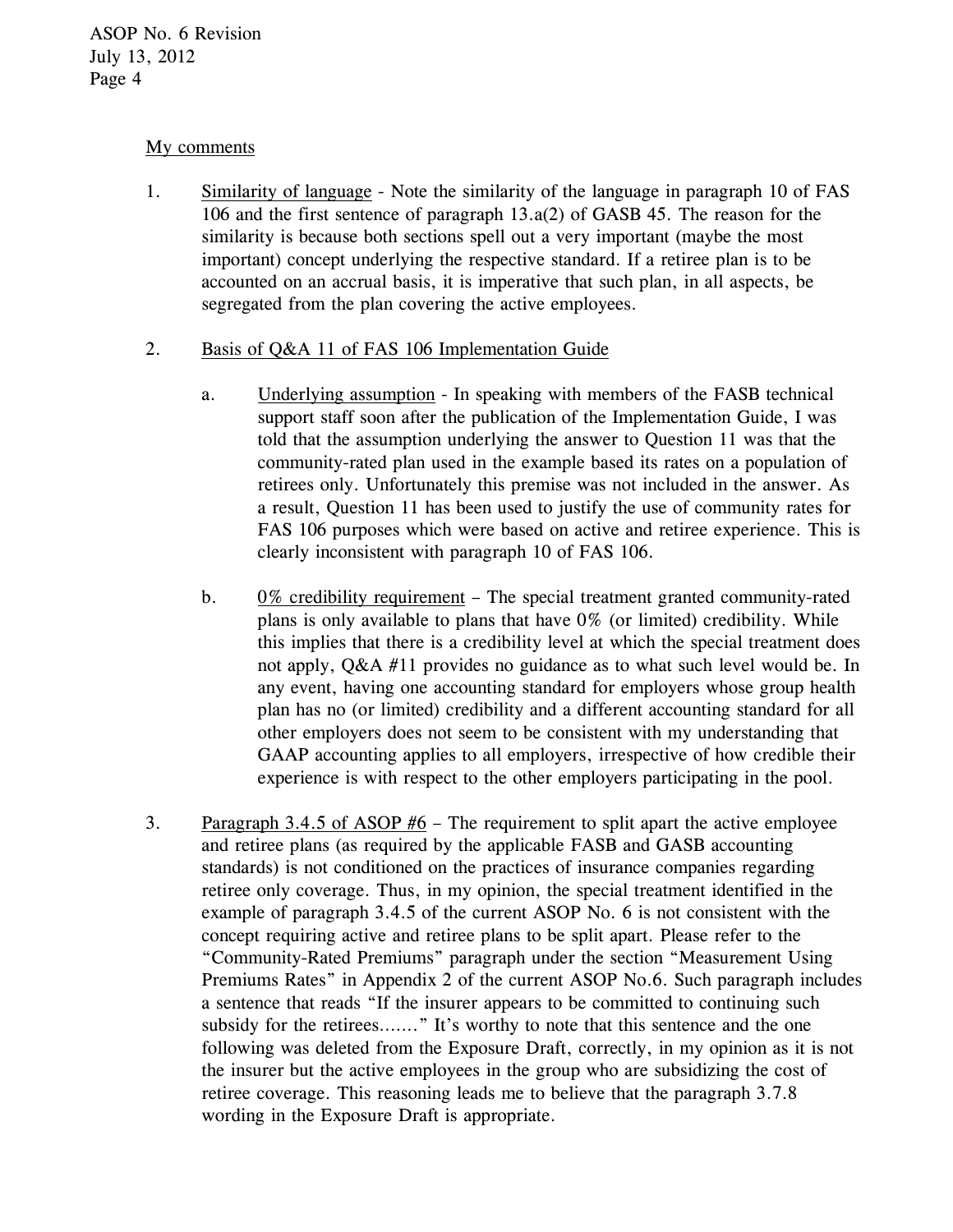## My comments

1. Similarity of language - Note the similarity of the language in paragraph 10 of FAS 106 and the first sentence of paragraph 13.a(2) of GASB 45. The reason for the similarity is because both sections spell out a very important (maybe the most important) concept underlying the respective standard. If a retiree plan is to be accounted on an accrual basis, it is imperative that such plan, in all aspects, be segregated from the plan covering the active employees.

## 2. Basis of Q&A 11 of FAS 106 Implementation Guide

- a. Underlying assumption In speaking with members of the FASB technical support staff soon after the publication of the Implementation Guide, I was told that the assumption underlying the answer to Question 11 was that the community-rated plan used in the example based its rates on a population of retirees only. Unfortunately this premise was not included in the answer. As a result, Question 11 has been used to justify the use of community rates for FAS 106 purposes which were based on active and retiree experience. This is clearly inconsistent with paragraph 10 of FAS 106.
- b. 0% credibility requirement The special treatment granted community-rated plans is only available to plans that have 0% (or limited) credibility. While this implies that there is a credibility level at which the special treatment does not apply, Q&A #11 provides no guidance as to what such level would be. In any event, having one accounting standard for employers whose group health plan has no (or limited) credibility and a different accounting standard for all other employers does not seem to be consistent with my understanding that GAAP accounting applies to all employers, irrespective of how credible their experience is with respect to the other employers participating in the pool.
- 3. Paragraph 3.4.5 of ASOP #6 The requirement to split apart the active employee and retiree plans (as required by the applicable FASB and GASB accounting standards) is not conditioned on the practices of insurance companies regarding retiree only coverage. Thus, in my opinion, the special treatment identified in the example of paragraph 3.4.5 of the current ASOP No. 6 is not consistent with the concept requiring active and retiree plans to be split apart. Please refer to the "Community-Rated Premiums" paragraph under the section "Measurement Using Premiums Rates" in Appendix 2 of the current ASOP No.6. Such paragraph includes a sentence that reads "If the insurer appears to be committed to continuing such subsidy for the retirees......." It's worthy to note that this sentence and the one following was deleted from the Exposure Draft, correctly, in my opinion as it is not the insurer but the active employees in the group who are subsidizing the cost of retiree coverage. This reasoning leads me to believe that the paragraph 3.7.8 wording in the Exposure Draft is appropriate.